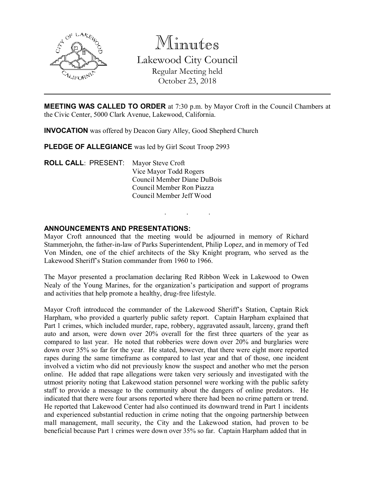

Minutes Lakewood City Council Regular Meeting held October 23, 2018

MEETING WAS CALLED TO ORDER at 7:30 p.m. by Mayor Croft in the Council Chambers at the Civic Center, 5000 Clark Avenue, Lakewood, California.

INVOCATION was offered by Deacon Gary Alley, Good Shepherd Church

PLEDGE OF ALLEGIANCE was led by Girl Scout Troop 2993

ROLL CALL: PRESENT: Mayor Steve Croft Vice Mayor Todd Rogers Council Member Diane DuBois Council Member Ron Piazza Council Member Jeff Wood

#### ANNOUNCEMENTS AND PRESENTATIONS:

Mayor Croft announced that the meeting would be adjourned in memory of Richard Stammerjohn, the father-in-law of Parks Superintendent, Philip Lopez, and in memory of Ted Von Minden, one of the chief architects of the Sky Knight program, who served as the Lakewood Sheriff's Station commander from 1960 to 1966.

. . .

The Mayor presented a proclamation declaring Red Ribbon Week in Lakewood to Owen Nealy of the Young Marines, for the organization's participation and support of programs and activities that help promote a healthy, drug-free lifestyle.

Mayor Croft introduced the commander of the Lakewood Sheriff's Station, Captain Rick Harpham, who provided a quarterly public safety report. Captain Harpham explained that Part 1 crimes, which included murder, rape, robbery, aggravated assault, larceny, grand theft auto and arson, were down over 20% overall for the first three quarters of the year as compared to last year. He noted that robberies were down over 20% and burglaries were down over 35% so far for the year. He stated, however, that there were eight more reported rapes during the same timeframe as compared to last year and that of those, one incident involved a victim who did not previously know the suspect and another who met the person online. He added that rape allegations were taken very seriously and investigated with the utmost priority noting that Lakewood station personnel were working with the public safety staff to provide a message to the community about the dangers of online predators. He indicated that there were four arsons reported where there had been no crime pattern or trend. He reported that Lakewood Center had also continued its downward trend in Part 1 incidents and experienced substantial reduction in crime noting that the ongoing partnership between mall management, mall security, the City and the Lakewood station, had proven to be beneficial because Part 1 crimes were down over 35% so far. Captain Harpham added that in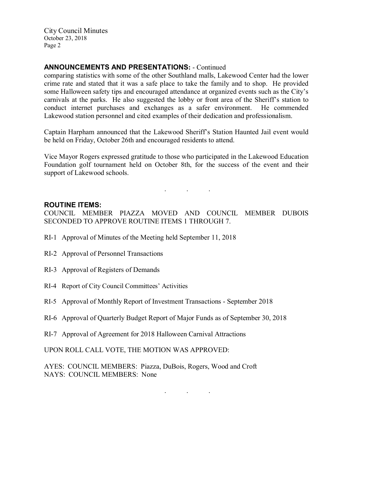City Council Minutes October 23, 2018 Page 2

## ANNOUNCEMENTS AND PRESENTATIONS: - Continued

comparing statistics with some of the other Southland malls, Lakewood Center had the lower crime rate and stated that it was a safe place to take the family and to shop. He provided some Halloween safety tips and encouraged attendance at organized events such as the City's carnivals at the parks. He also suggested the lobby or front area of the Sheriff's station to conduct internet purchases and exchanges as a safer environment. He commended Lakewood station personnel and cited examples of their dedication and professionalism.

Captain Harpham announced that the Lakewood Sheriff's Station Haunted Jail event would be held on Friday, October 26th and encouraged residents to attend.

Vice Mayor Rogers expressed gratitude to those who participated in the Lakewood Education Foundation golf tournament held on October 8th, for the success of the event and their support of Lakewood schools.

### $\mathcal{L}^{\mathcal{L}}$  . The set of  $\mathcal{L}^{\mathcal{L}}$  , we have

#### ROUTINE ITEMS:

COUNCIL MEMBER PIAZZA MOVED AND COUNCIL MEMBER DUBOIS SECONDED TO APPROVE ROUTINE ITEMS 1 THROUGH 7.

- RI-1 Approval of Minutes of the Meeting held September 11, 2018
- RI-2 Approval of Personnel Transactions
- RI-3 Approval of Registers of Demands
- RI-4 Report of City Council Committees' Activities
- RI-5 Approval of Monthly Report of Investment Transactions September 2018
- RI-6 Approval of Quarterly Budget Report of Major Funds as of September 30, 2018
- RI-7 Approval of Agreement for 2018 Halloween Carnival Attractions

UPON ROLL CALL VOTE, THE MOTION WAS APPROVED:

AYES: COUNCIL MEMBERS: Piazza, DuBois, Rogers, Wood and Croft NAYS: COUNCIL MEMBERS: None

. . .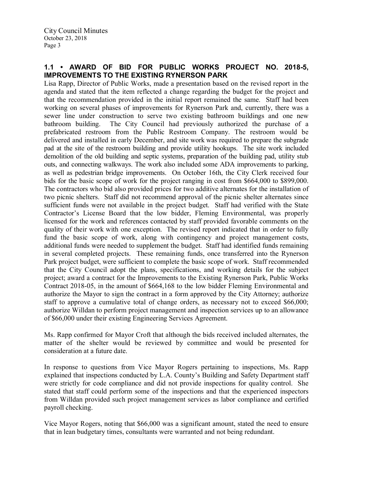# 1.1 • AWARD OF BID FOR PUBLIC WORKS PROJECT NO. 2018-5, IMPROVEMENTS TO THE EXISTING RYNERSON PARK

Lisa Rapp, Director of Public Works, made a presentation based on the revised report in the agenda and stated that the item reflected a change regarding the budget for the project and that the recommendation provided in the initial report remained the same. Staff had been working on several phases of improvements for Rynerson Park and, currently, there was a sewer line under construction to serve two existing bathroom buildings and one new bathroom building. The City Council had previously authorized the purchase of a prefabricated restroom from the Public Restroom Company. The restroom would be delivered and installed in early December, and site work was required to prepare the subgrade pad at the site of the restroom building and provide utility hookups. The site work included demolition of the old building and septic systems, preparation of the building pad, utility stub outs, and connecting walkways. The work also included some ADA improvements to parking, as well as pedestrian bridge improvements. On October 16th, the City Clerk received four bids for the basic scope of work for the project ranging in cost from \$664,000 to \$899,000. The contractors who bid also provided prices for two additive alternates for the installation of two picnic shelters. Staff did not recommend approval of the picnic shelter alternates since sufficient funds were not available in the project budget. Staff had verified with the State Contractor's License Board that the low bidder, Fleming Environmental, was properly licensed for the work and references contacted by staff provided favorable comments on the quality of their work with one exception. The revised report indicated that in order to fully fund the basic scope of work, along with contingency and project management costs, additional funds were needed to supplement the budget. Staff had identified funds remaining in several completed projects. These remaining funds, once transferred into the Rynerson Park project budget, were sufficient to complete the basic scope of work. Staff recommended that the City Council adopt the plans, specifications, and working details for the subject project; award a contract for the Improvements to the Existing Rynerson Park, Public Works Contract 2018-05, in the amount of \$664,168 to the low bidder Fleming Environmental and authorize the Mayor to sign the contract in a form approved by the City Attorney; authorize staff to approve a cumulative total of change orders, as necessary not to exceed \$66,000; authorize Willdan to perform project management and inspection services up to an allowance of \$66,000 under their existing Engineering Services Agreement.

Ms. Rapp confirmed for Mayor Croft that although the bids received included alternates, the matter of the shelter would be reviewed by committee and would be presented for consideration at a future date.

In response to questions from Vice Mayor Rogers pertaining to inspections, Ms. Rapp explained that inspections conducted by L.A. County's Building and Safety Department staff were strictly for code compliance and did not provide inspections for quality control. She stated that staff could perform some of the inspections and that the experienced inspectors from Willdan provided such project management services as labor compliance and certified payroll checking.

Vice Mayor Rogers, noting that \$66,000 was a significant amount, stated the need to ensure that in lean budgetary times, consultants were warranted and not being redundant.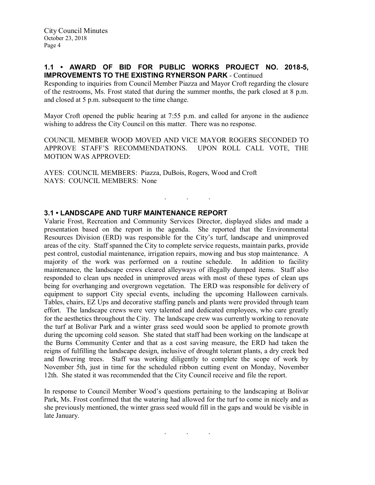### 1.1 • AWARD OF BID FOR PUBLIC WORKS PROJECT NO. 2018-5, IMPROVEMENTS TO THE EXISTING RYNERSON PARK - Continued

Responding to inquiries from Council Member Piazza and Mayor Croft regarding the closure of the restrooms, Ms. Frost stated that during the summer months, the park closed at 8 p.m. and closed at 5 p.m. subsequent to the time change.

Mayor Croft opened the public hearing at 7:55 p.m. and called for anyone in the audience wishing to address the City Council on this matter. There was no response.

COUNCIL MEMBER WOOD MOVED AND VICE MAYOR ROGERS SECONDED TO APPROVE STAFF'S RECOMMENDATIONS. UPON ROLL CALL VOTE, THE MOTION WAS APPROVED:

. . .

AYES: COUNCIL MEMBERS: Piazza, DuBois, Rogers, Wood and Croft NAYS: COUNCIL MEMBERS: None

### 3.1 • LANDSCAPE AND TURF MAINTENANCE REPORT

Valarie Frost, Recreation and Community Services Director, displayed slides and made a presentation based on the report in the agenda. She reported that the Environmental Resources Division (ERD) was responsible for the City's turf, landscape and unimproved areas of the city. Staff spanned the City to complete service requests, maintain parks, provide pest control, custodial maintenance, irrigation repairs, mowing and bus stop maintenance. A majority of the work was performed on a routine schedule. In addition to facility maintenance, the landscape crews cleared alleyways of illegally dumped items. Staff also responded to clean ups needed in unimproved areas with most of these types of clean ups being for overhanging and overgrown vegetation. The ERD was responsible for delivery of equipment to support City special events, including the upcoming Halloween carnivals. Tables, chairs, EZ Ups and decorative staffing panels and plants were provided through team effort. The landscape crews were very talented and dedicated employees, who care greatly for the aesthetics throughout the City. The landscape crew was currently working to renovate the turf at Bolivar Park and a winter grass seed would soon be applied to promote growth during the upcoming cold season. She stated that staff had been working on the landscape at the Burns Community Center and that as a cost saving measure, the ERD had taken the reigns of fulfilling the landscape design, inclusive of drought tolerant plants, a dry creek bed and flowering trees. Staff was working diligently to complete the scope of work by November 5th, just in time for the scheduled ribbon cutting event on Monday, November 12th. She stated it was recommended that the City Council receive and file the report.

In response to Council Member Wood's questions pertaining to the landscaping at Bolivar Park, Ms. Frost confirmed that the watering had allowed for the turf to come in nicely and as she previously mentioned, the winter grass seed would fill in the gaps and would be visible in late January.

. . .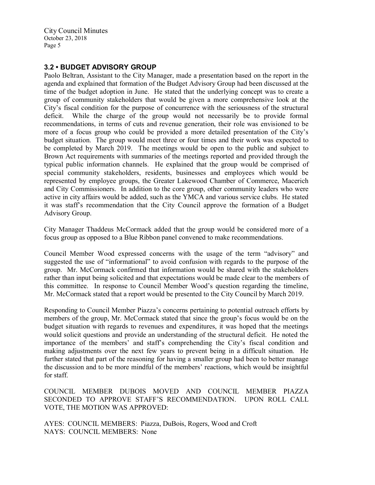City Council Minutes October 23, 2018 Page 5

## 3.2 • BUDGET ADVISORY GROUP

Paolo Beltran, Assistant to the City Manager, made a presentation based on the report in the agenda and explained that formation of the Budget Advisory Group had been discussed at the time of the budget adoption in June. He stated that the underlying concept was to create a group of community stakeholders that would be given a more comprehensive look at the City's fiscal condition for the purpose of concurrence with the seriousness of the structural deficit. While the charge of the group would not necessarily be to provide formal recommendations, in terms of cuts and revenue generation, their role was envisioned to be more of a focus group who could be provided a more detailed presentation of the City's budget situation. The group would meet three or four times and their work was expected to be completed by March 2019. The meetings would be open to the public and subject to Brown Act requirements with summaries of the meetings reported and provided through the typical public information channels. He explained that the group would be comprised of special community stakeholders, residents, businesses and employees which would be represented by employee groups, the Greater Lakewood Chamber of Commerce, Macerich and City Commissioners. In addition to the core group, other community leaders who were active in city affairs would be added, such as the YMCA and various service clubs. He stated it was staff's recommendation that the City Council approve the formation of a Budget Advisory Group.

City Manager Thaddeus McCormack added that the group would be considered more of a focus group as opposed to a Blue Ribbon panel convened to make recommendations.

Council Member Wood expressed concerns with the usage of the term "advisory" and suggested the use of "informational" to avoid confusion with regards to the purpose of the group. Mr. McCormack confirmed that information would be shared with the stakeholders rather than input being solicited and that expectations would be made clear to the members of this committee. In response to Council Member Wood's question regarding the timeline, Mr. McCormack stated that a report would be presented to the City Council by March 2019.

Responding to Council Member Piazza's concerns pertaining to potential outreach efforts by members of the group, Mr. McCormack stated that since the group's focus would be on the budget situation with regards to revenues and expenditures, it was hoped that the meetings would solicit questions and provide an understanding of the structural deficit. He noted the importance of the members' and staff's comprehending the City's fiscal condition and making adjustments over the next few years to prevent being in a difficult situation. He further stated that part of the reasoning for having a smaller group had been to better manage the discussion and to be more mindful of the members' reactions, which would be insightful for staff.

COUNCIL MEMBER DUBOIS MOVED AND COUNCIL MEMBER PIAZZA SECONDED TO APPROVE STAFF'S RECOMMENDATION. UPON ROLL CALL VOTE, THE MOTION WAS APPROVED:

AYES: COUNCIL MEMBERS: Piazza, DuBois, Rogers, Wood and Croft NAYS: COUNCIL MEMBERS: None